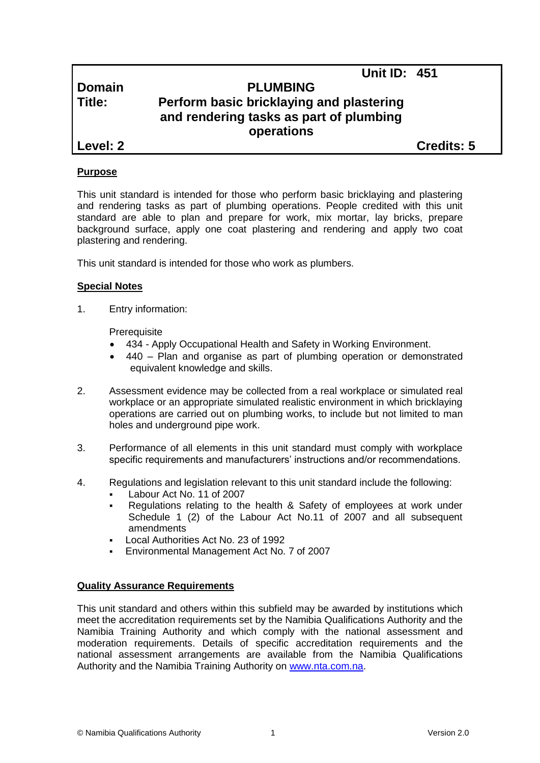# **Unit ID: 451**

# **Domain PLUMBING Title: Perform basic bricklaying and plastering and rendering tasks as part of plumbing operations**

**Level: 2 Credits: 5**

## **Purpose**

This unit standard is intended for those who perform basic bricklaying and plastering and rendering tasks as part of plumbing operations. People credited with this unit standard are able to plan and prepare for work, mix mortar, lay bricks, prepare background surface, apply one coat plastering and rendering and apply two coat plastering and rendering.

This unit standard is intended for those who work as plumbers.

## **Special Notes**

1. Entry information:

**Prerequisite** 

- 434 *-* Apply Occupational Health and Safety in Working Environment.
- 440 Plan and organise as part of plumbing operation or demonstrated equivalent knowledge and skills.
- 2. Assessment evidence may be collected from a real workplace or simulated real workplace or an appropriate simulated realistic environment in which bricklaying operations are carried out on plumbing works, to include but not limited to man holes and underground pipe work.
- 3. Performance of all elements in this unit standard must comply with workplace specific requirements and manufacturers' instructions and/or recommendations.
- 4. Regulations and legislation relevant to this unit standard include the following:
	- Labour Act No. 11 of 2007
	- Regulations relating to the health & Safety of employees at work under Schedule 1 (2) of the Labour Act No.11 of 2007 and all subsequent amendments
	- Local Authorities Act No. 23 of 1992
	- Environmental Management Act No. 7 of 2007

## **Quality Assurance Requirements**

This unit standard and others within this subfield may be awarded by institutions which meet the accreditation requirements set by the Namibia Qualifications Authority and the Namibia Training Authority and which comply with the national assessment and moderation requirements. Details of specific accreditation requirements and the national assessment arrangements are available from the Namibia Qualifications Authority and the Namibia Training Authority on [www.nta.com.na.](http://www.nta.com.na/)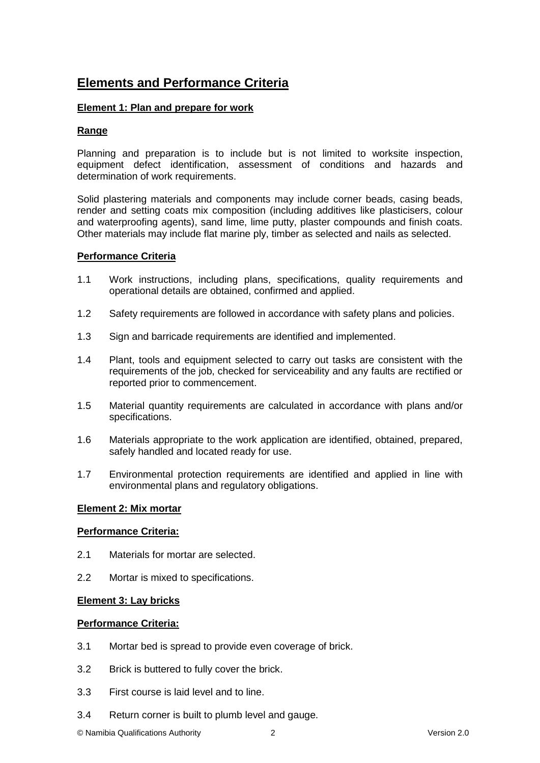# **Elements and Performance Criteria**

## **Element 1: Plan and prepare for work**

# **Range**

Planning and preparation is to include but is not limited to worksite inspection, equipment defect identification, assessment of conditions and hazards and determination of work requirements.

Solid plastering materials and components may include corner beads, casing beads, render and setting coats mix composition (including additives like plasticisers, colour and waterproofing agents), sand lime, lime putty, plaster compounds and finish coats. Other materials may include flat marine ply, timber as selected and nails as selected.

## **Performance Criteria**

- 1.1 Work instructions, including plans, specifications, quality requirements and operational details are obtained, confirmed and applied.
- 1.2 Safety requirements are followed in accordance with safety plans and policies.
- 1.3 Sign and barricade requirements are identified and implemented.
- 1.4 Plant, tools and equipment selected to carry out tasks are consistent with the requirements of the job, checked for serviceability and any faults are rectified or reported prior to commencement.
- 1.5 Material quantity requirements are calculated in accordance with plans and/or specifications.
- 1.6 Materials appropriate to the work application are identified, obtained, prepared, safely handled and located ready for use.
- 1.7 Environmental protection requirements are identified and applied in line with environmental plans and regulatory obligations.

## **Element 2: Mix mortar**

## **Performance Criteria:**

- 2.1 Materials for mortar are selected.
- 2.2 Mortar is mixed to specifications.

## **Element 3: Lay bricks**

## **Performance Criteria:**

- 3.1 Mortar bed is spread to provide even coverage of brick.
- 3.2 Brick is buttered to fully cover the brick.
- 3.3 First course is laid level and to line.
- 3.4 Return corner is built to plumb level and gauge.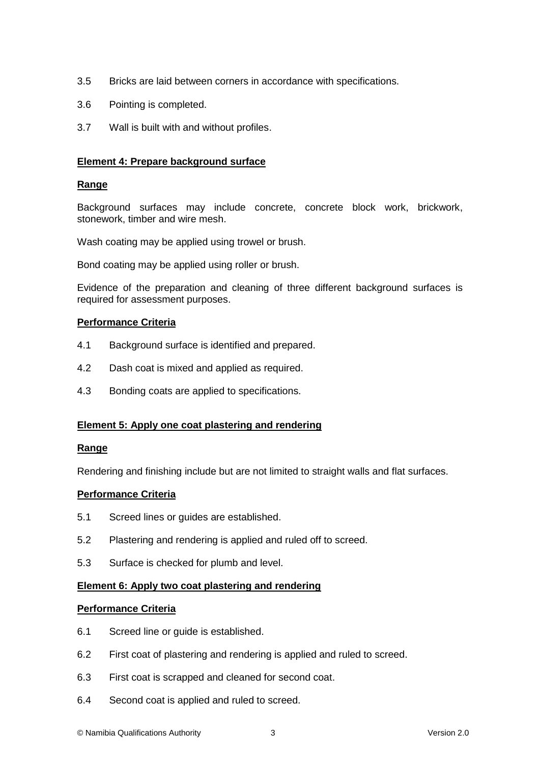- 3.5 Bricks are laid between corners in accordance with specifications.
- 3.6 Pointing is completed.
- 3.7 Wall is built with and without profiles.

## **Element 4: Prepare background surface**

#### **Range**

Background surfaces may include concrete, concrete block work, brickwork, stonework, timber and wire mesh.

Wash coating may be applied using trowel or brush.

Bond coating may be applied using roller or brush.

Evidence of the preparation and cleaning of three different background surfaces is required for assessment purposes.

#### **Performance Criteria**

- 4.1 Background surface is identified and prepared.
- 4.2 Dash coat is mixed and applied as required.
- 4.3 Bonding coats are applied to specifications.

## **Element 5: Apply one coat plastering and rendering**

#### **Range**

Rendering and finishing include but are not limited to straight walls and flat surfaces.

#### **Performance Criteria**

- 5.1 Screed lines or guides are established.
- 5.2 Plastering and rendering is applied and ruled off to screed.
- 5.3 Surface is checked for plumb and level.

## **Element 6: Apply two coat plastering and rendering**

#### **Performance Criteria**

- 6.1 Screed line or guide is established.
- 6.2 First coat of plastering and rendering is applied and ruled to screed.
- 6.3 First coat is scrapped and cleaned for second coat.
- 6.4 Second coat is applied and ruled to screed.